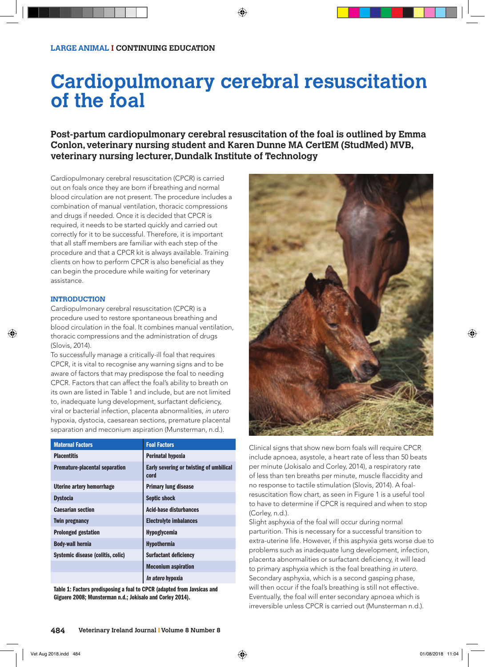# **Cardiopulmonary cerebral resuscitation of the foal**

**Post-partum cardiopulmonary cerebral resuscitation of the foal is outlined by Emma Conlon, veterinary nursing student and Karen Dunne MA CertEM (StudMed) MVB, veterinary nursing lecturer, Dundalk Institute of Technology**

Cardiopulmonary cerebral resuscitation (CPCR) is carried out on foals once they are born if breathing and normal blood circulation are not present. The procedure includes a combination of manual ventilation, thoracic compressions and drugs if needed. Once it is decided that CPCR is required, it needs to be started quickly and carried out correctly for it to be successful. Therefore, it is important that all staff members are familiar with each step of the procedure and that a CPCR kit is always available. Training clients on how to perform CPCR is also beneficial as they can begin the procedure while waiting for veterinary assistance.

# **INTRODUCTION**

Cardiopulmonary cerebral resuscitation (CPCR) is a procedure used to restore spontaneous breathing and blood circulation in the foal. It combines manual ventilation, thoracic compressions and the administration of drugs (Slovis, 2014).

To successfully manage a critically-ill foal that requires CPCR, it is vital to recognise any warning signs and to be aware of factors that may predispose the foal to needing CPCR. Factors that can affect the foal's ability to breath on its own are listed in Table 1 and include, but are not limited to, inadequate lung development, surfactant deficiency, viral or bacterial infection, placenta abnormalities, in utero hypoxia, dystocia, caesarean sections, premature placental separation and meconium aspiration (Munsterman, n.d.).

| <b>Maternal Factors</b>               | <b>Foal Factors</b>                             |
|---------------------------------------|-------------------------------------------------|
| <b>Placentitis</b>                    | Perinatal hypoxia                               |
| <b>Premature-placental separation</b> | Early severing or twisting of umbilical<br>cord |
| Uterine artery hemorrhage             | <b>Primary lung disease</b>                     |
| <b>Dystocia</b>                       | <b>Septic shock</b>                             |
| <b>Caesarian section</b>              | <b>Acid-base disturbances</b>                   |
| <b>Twin pregnancy</b>                 | <b>Electrolyte imbalances</b>                   |
| <b>Prolonged gestation</b>            | <b>Hypoglycemia</b>                             |
| <b>Body-wall hernia</b>               | <b>Hypothermia</b>                              |
| Systemic disease (colitis, colic)     | <b>Surfactant deficiency</b>                    |
|                                       | <b>Meconium aspiration</b>                      |
|                                       | <i>In utero</i> hypoxia                         |

Table 1: Factors predisposing a foal to CPCR (adapted from Javsicas and Giguere 2008; Munsterman n.d.; Jokisalo and Corley 2014).



Clinical signs that show new born foals will require CPCR include apnoea, asystole, a heart rate of less than 50 beats per minute (Jokisalo and Corley, 2014), a respiratory rate of less than ten breaths per minute, muscle flaccidity and no response to tactile stimulation (Slovis, 2014). A foalresuscitation flow chart, as seen in Figure 1 is a useful tool to have to determine if CPCR is required and when to stop (Corley, n.d.).

Slight asphyxia of the foal will occur during normal parturition. This is necessary for a successful transition to extra-uterine life. However, if this asphyxia gets worse due to problems such as inadequate lung development, infection, placenta abnormalities or surfactant deficiency, it will lead to primary asphyxia which is the foal breathing in utero. Secondary asphyxia, which is a second gasping phase, will then occur if the foal's breathing is still not effective. Eventually, the foal will enter secondary apnoea which is irreversible unless CPCR is carried out (Munsterman n.d.).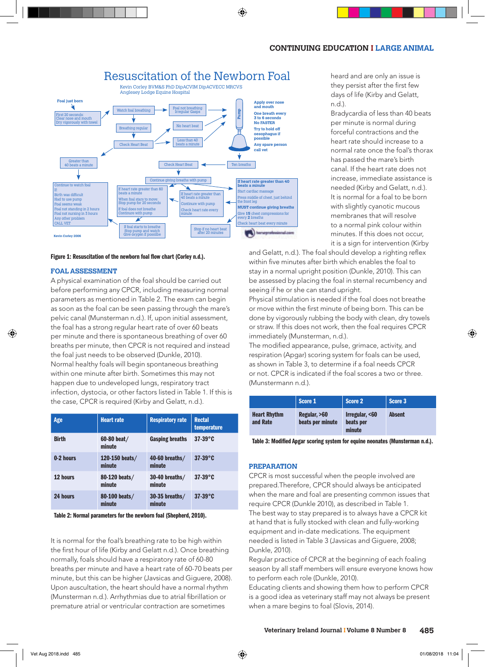

#### Figure 1: Resuscitation of the newborn foal flow chart (Corley n.d.).

### **FOAL ASSESSMENT**

A physical examination of the foal should be carried out before performing any CPCR, including measuring normal parameters as mentioned in Table 2. The exam can begin as soon as the foal can be seen passing through the mare's pelvic canal (Munsterman n.d.). If, upon initial assessment, the foal has a strong regular heart rate of over 60 beats per minute and there is spontaneous breathing of over 60 breaths per minute, then CPCR is not required and instead the foal just needs to be observed (Dunkle, 2010). Normal healthy foals will begin spontaneous breathing within one minute after birth. Sometimes this may not happen due to undeveloped lungs, respiratory tract infection, dystocia, or other factors listed in Table 1. If this is the case, CPCR is required (Kirby and Gelatt, n.d.).

| Age          | <b>Heart</b> rate        | <b>Respiratory rate</b>    | <b>Rectal</b><br>temperature |
|--------------|--------------------------|----------------------------|------------------------------|
| <b>Birth</b> | 60-80 beat/<br>minute    | <b>Gasping breaths</b>     | $37-39^{\circ}$ C            |
| 0-2 hours    | 120-150 beats/<br>minute | 40-60 breaths/<br>minute   | $37-39$ °C                   |
| 12 hours     | 80-120 beats/<br>minute  | $30-40$ breaths/<br>minute | $37-39^{\circ}C$             |
| 24 hours     | 80-100 beats/<br>minute  | $30-35$ breaths/<br>minute | $37-39$ °C                   |

Table 2: Normal parameters for the newborn foal (Shepherd, 2010).

It is normal for the foal's breathing rate to be high within the first hour of life (Kirby and Gelatt n.d.). Once breathing normally, foals should have a respiratory rate of 60-80 breaths per minute and have a heart rate of 60-70 beats per minute, but this can be higher (Javsicas and Giguere, 2008). Upon auscultation, the heart should have a normal rhythm (Munsterman n.d.). Arrhythmias due to atrial fibrillation or premature atrial or ventricular contraction are sometimes

heard and are only an issue is they persist after the first few days of life (Kirby and Gelatt, n.d.).

Bradycardia of less than 40 beats per minute is normal during forceful contractions and the heart rate should increase to a normal rate once the foal's thorax has passed the mare's birth canal. If the heart rate does not increase, immediate assistance is needed (Kirby and Gelatt, n.d.). It is normal for a foal to be born with slightly cyanotic mucous membranes that will resolve to a normal pink colour within minutes. If this does not occur, it is a sign for intervention (Kirby

and Gelatt, n.d.). The foal should develop a righting reflex within five minutes after birth which enables the foal to stay in a normal upright position (Dunkle, 2010). This can be assessed by placing the foal in sternal recumbency and seeing if he or she can stand upright.

Physical stimulation is needed if the foal does not breathe or move within the first minute of being born. This can be done by vigorously rubbing the body with clean, dry towels or straw. If this does not work, then the foal requires CPCR immediately (Munsterman, n.d.).

The modified appearance, pulse, grimace, activity, and respiration (Apgar) scoring system for foals can be used, as shown in Table 3, to determine if a foal needs CPCR or not. CPCR is indicated if the foal scores a two or three. (Munstermann n.d.).

|                                 | Score 1                          | Score 2                               | Score 3       |
|---------------------------------|----------------------------------|---------------------------------------|---------------|
| <b>Heart Rhythm</b><br>and Rate | Regular, >60<br>beats per minute | Irregular, <60<br>beats per<br>minute | <b>Absent</b> |

Table 3: Modified Apgar scoring system for equine neonates (Munsterman n.d.).

#### **PREPARATION**

CPCR is most successful when the people involved are prepared.Therefore, CPCR should always be anticipated when the mare and foal are presenting common issues that require CPCR (Dunkle 2010), as described in Table 1. The best way to stay prepared is to always have a CPCR kit at hand that is fully stocked with clean and fully-working equipment and in-date medications. The equipment needed is listed in Table 3 (Javsicas and Giguere, 2008; Dunkle, 2010).

Regular practice of CPCR at the beginning of each foaling season by all staff members will ensure everyone knows how to perform each role (Dunkle, 2010).

Educating clients and showing them how to perform CPCR is a good idea as veterinary staff may not always be present when a mare begins to foal (Slovis, 2014).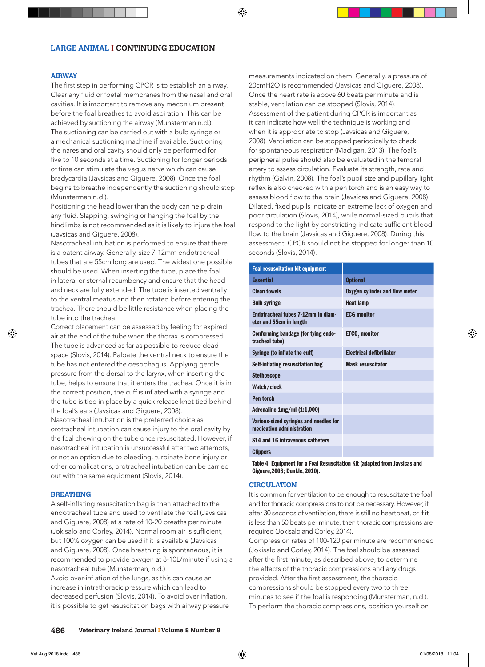### **AIRWAY**

The first step in performing CPCR is to establish an airway. Clear any fluid or foetal membranes from the nasal and oral cavities. It is important to remove any meconium present before the foal breathes to avoid aspiration. This can be achieved by suctioning the airway (Munsterman n.d.). The suctioning can be carried out with a bulb syringe or a mechanical suctioning machine if available. Suctioning the nares and oral cavity should only be performed for five to 10 seconds at a time. Suctioning for longer periods of time can stimulate the vagus nerve which can cause bradycardia (Javsicas and Giguere, 2008). Once the foal begins to breathe independently the suctioning should stop (Munsterman n.d.).

Positioning the head lower than the body can help drain any fluid. Slapping, swinging or hanging the foal by the hindlimbs is not recommended as it is likely to injure the foal (Javsicas and Giguere, 2008).

Nasotracheal intubation is performed to ensure that there is a patent airway. Generally, size 7-12mm endotracheal tubes that are 55cm long are used. The widest one possible should be used. When inserting the tube, place the foal in lateral or sternal recumbency and ensure that the head and neck are fully extended. The tube is inserted ventrally to the ventral meatus and then rotated before entering the trachea. There should be little resistance when placing the tube into the trachea.

Correct placement can be assessed by feeling for expired air at the end of the tube when the thorax is compressed. The tube is advanced as far as possible to reduce dead space (Slovis, 2014). Palpate the ventral neck to ensure the tube has not entered the oesophagus. Applying gentle pressure from the dorsal to the larynx, when inserting the tube, helps to ensure that it enters the trachea. Once it is in the correct position, the cuff is inflated with a syringe and the tube is tied in place by a quick release knot tied behind the foal's ears (Javsicas and Giguere, 2008).

Nasotracheal intubation is the preferred choice as orotracheal intubation can cause injury to the oral cavity by the foal chewing on the tube once resuscitated. However, if nasotracheal intubation is unsuccessful after two attempts, or not an option due to bleeding, turbinate bone injury or other complications, orotracheal intubation can be carried out with the same equipment (Slovis, 2014).

## **BREATHING**

A self-inflating resuscitation bag is then attached to the endotracheal tube and used to ventilate the foal (Javsicas and Giguere, 2008) at a rate of 10-20 breaths per minute (Jokisalo and Corley, 2014). Normal room air is sufficient, but 100% oxygen can be used if it is available (Javsicas and Giguere, 2008). Once breathing is spontaneous, it is recommended to provide oxygen at 8-10L/minute if using a nasotracheal tube (Munsterman, n.d.).

Avoid over-inflation of the lungs, as this can cause an increase in intrathoracic pressure which can lead to decreased perfusion (Slovis, 2014). To avoid over inflation, it is possible to get resuscitation bags with airway pressure measurements indicated on them. Generally, a pressure of 20cmH2O is recommended (Javsicas and Giguere, 2008). Once the heart rate is above 60 beats per minute and is stable, ventilation can be stopped (Slovis, 2014). Assessment of the patient during CPCR is important as it can indicate how well the technique is working and when it is appropriate to stop (Javsicas and Giguere, 2008). Ventilation can be stopped periodically to check for spontaneous respiration (Madigan, 2013). The foal's peripheral pulse should also be evaluated in the femoral artery to assess circulation. Evaluate its strength, rate and rhythm (Galvin, 2008). The foal's pupil size and pupillary light reflex is also checked with a pen torch and is an easy way to assess blood flow to the brain (Javsicas and Giguere, 2008). Dilated, fixed pupils indicate an extreme lack of oxygen and poor circulation (Slovis, 2014), while normal-sized pupils that respond to the light by constricting indicate sufficient blood flow to the brain (Javsicas and Giguere, 2008). During this assessment, CPCR should not be stopped for longer than 10 seconds (Slovis, 2014).

| <b>Foal-resuscitation kit equipment</b>                              |                                       |
|----------------------------------------------------------------------|---------------------------------------|
| <b>Essential</b>                                                     | <b>Optional</b>                       |
| <b>Clean towels</b>                                                  | <b>Oxygen cylinder and flow meter</b> |
| <b>Bulb syringe</b>                                                  | <b>Heat lamp</b>                      |
| <b>Fodotracheal tubes 7-12mm in diam-</b><br>eter and 55cm in length | <b>FCG monitor</b>                    |
| Conforming bandage (for tying endo-<br>tracheal tube)                | <b>ETCO, monitor</b>                  |
| Syringe (to inflate the cuff)                                        | <b>Electrical defibrillator</b>       |
| Self-inflating resuscitation bag                                     | <b>Mask resuscitator</b>              |
| <b>Stethoscope</b>                                                   |                                       |
| Watch/clock                                                          |                                       |
| <b>Pen torch</b>                                                     |                                       |
| Adrenaline $1mg/ml (1:1,000)$                                        |                                       |
| Various-sized syringes and needles for<br>medication administration  |                                       |
| \$14 and 16 intravenous catheters                                    |                                       |
| <b>Clippers</b>                                                      |                                       |
|                                                                      |                                       |

Table 4: Equipment for a Foal Resuscitation Kit (adapted from Javsicas and Giguere,2008; Dunkle, 2010).

### **CIRCULATION**

It is common for ventilation to be enough to resuscitate the foal and for thoracic compressions to not be necessary. However, if after 30 seconds of ventilation, there is still no heartbeat, or if it is less than 50 beats per minute, then thoracic compressions are required (Jokisalo and Corley, 2014).

Compression rates of 100-120 per minute are recommended (Jokisalo and Corley, 2014). The foal should be assessed after the first minute, as described above, to determine the effects of the thoracic compressions and any drugs provided. After the first assessment, the thoracic compressions should be stopped every two to three minutes to see if the foal is responding (Munsterman, n.d.). To perform the thoracic compressions, position yourself on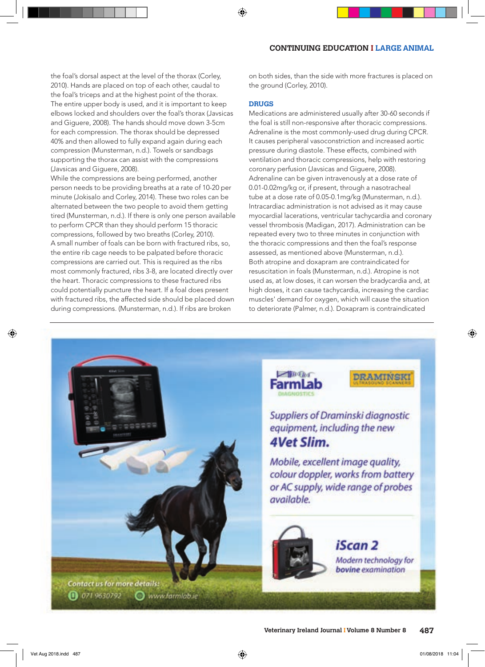the foal's dorsal aspect at the level of the thorax (Corley, 2010). Hands are placed on top of each other, caudal to the foal's triceps and at the highest point of the thorax. The entire upper body is used, and it is important to keep elbows locked and shoulders over the foal's thorax (Javsicas and Giguere, 2008). The hands should move down 3-5cm for each compression. The thorax should be depressed 40% and then allowed to fully expand again during each compression (Munsterman, n.d.). Towels or sandbags supporting the thorax can assist with the compressions (Javsicas and Giguere, 2008).

While the compressions are being performed, another person needs to be providing breaths at a rate of 10-20 per minute (Jokisalo and Corley, 2014). These two roles can be alternated between the two people to avoid them getting tired (Munsterman, n.d.). If there is only one person available to perform CPCR than they should perform 15 thoracic compressions, followed by two breaths (Corley, 2010). A small number of foals can be born with fractured ribs, so, the entire rib cage needs to be palpated before thoracic compressions are carried out. This is required as the ribs most commonly fractured, ribs 3-8, are located directly over the heart. Thoracic compressions to these fractured ribs could potentially puncture the heart. If a foal does present with fractured ribs, the affected side should be placed down during compressions. (Munsterman, n.d.). If ribs are broken

on both sides, than the side with more fractures is placed on the ground (Corley, 2010).

#### **DRUGS**

Medications are administered usually after 30-60 seconds if the foal is still non-responsive after thoracic compressions. Adrenaline is the most commonly-used drug during CPCR. It causes peripheral vasoconstriction and increased aortic pressure during diastole. These effects, combined with ventilation and thoracic compressions, help with restoring coronary perfusion (Javsicas and Giguere, 2008). Adrenaline can be given intravenously at a dose rate of 0.01-0.02mg/kg or, if present, through a nasotracheal tube at a dose rate of 0.05-0.1mg/kg (Munsterman, n.d.). Intracardiac administration is not advised as it may cause myocardial lacerations, ventricular tachycardia and coronary vessel thrombosis (Madigan, 2017). Administration can be repeated every two to three minutes in conjunction with the thoracic compressions and then the foal's response assessed, as mentioned above (Munsterman, n.d.). Both atropine and doxapram are contraindicated for resuscitation in foals (Munsterman, n.d.). Atropine is not used as, at low doses, it can worsen the bradycardia and, at high doses, it can cause tachycardia, increasing the cardiac muscles' demand for oxygen, which will cause the situation to deteriorate (Palmer, n.d.). Doxapram is contraindicated

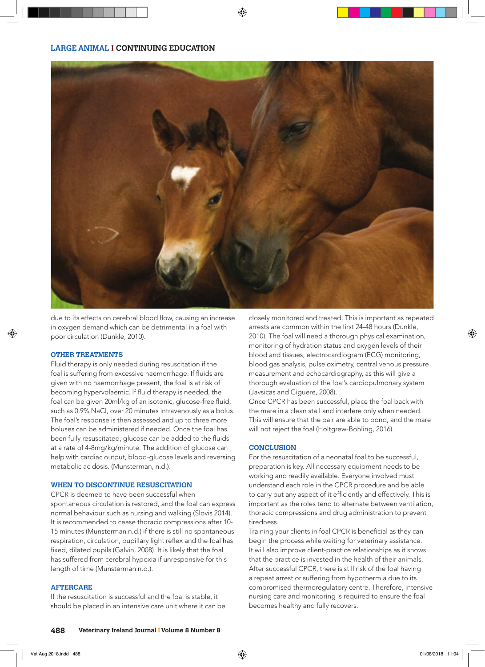

due to its effects on cerebral blood flow, causing an increase in oxygen demand which can be detrimental in a foal with poor circulation (Dunkle, 2010).

## **OTHER TREATMENTS**

Fluid therapy is only needed during resuscitation if the foal is suffering from excessive haemorrhage. If fluids are given with no haemorrhage present, the foal is at risk of becoming hypervolaemic. If fluid therapy is needed, the foal can be given 20ml/kg of an isotonic, glucose-free fluid, such as 0.9% NaCl, over 20 minutes intravenously as a bolus. The foal's response is then assessed and up to three more boluses can be administered if needed. Once the foal has been fully resuscitated, glucose can be added to the fluids at a rate of 4-8mg/kg/minute. The addition of glucose can help with cardiac output, blood-glucose levels and reversing metabolic acidosis. (Munsterman, n.d.).

#### **WHEN TO DISCONTINUE RESUSCITATION**

CPCR is deemed to have been successful when spontaneous circulation is restored, and the foal can express normal behaviour such as nursing and walking (Slovis 2014). It is recommended to cease thoracic compressions after 10- 15 minutes (Munsterman n.d.) if there is still no spontaneous respiration, circulation, pupillary light reflex and the foal has fixed, dilated pupils (Galvin, 2008). It is likely that the foal has suffered from cerebral hypoxia if unresponsive for this length of time (Munsterman n.d.).

# **AFTERCARE**

If the resuscitation is successful and the foal is stable, it should be placed in an intensive care unit where it can be

closely monitored and treated. This is important as repeated arrests are common within the first 24-48 hours (Dunkle, 2010). The foal will need a thorough physical examination, monitoring of hydration status and oxygen levels of their blood and tissues, electrocardiogram (ECG) monitoring, blood gas analysis, pulse oximetry, central venous pressure measurement and echocardiography, as this will give a thorough evaluation of the foal's cardiopulmonary system (Javsicas and Giguere, 2008).

Once CPCR has been successful, place the foal back with the mare in a clean stall and interfere only when needed. This will ensure that the pair are able to bond, and the mare will not reject the foal (Holtgrew-Bohling, 2016).

#### **CONCLUSION**

For the resuscitation of a neonatal foal to be successful, preparation is key. All necessary equipment needs to be working and readily available. Everyone involved must understand each role in the CPCR procedure and be able to carry out any aspect of it efficiently and effectively. This is important as the roles tend to alternate between ventilation, thoracic compressions and drug administration to prevent tiredness.

Training your clients in foal CPCR is beneficial as they can begin the process while waiting for veterinary assistance. It will also improve client-practice relationships as it shows that the practice is invested in the health of their animals. After successful CPCR, there is still risk of the foal having a repeat arrest or suffering from hypothermia due to its compromised thermoregulatory centre. Therefore, intensive nursing care and monitoring is required to ensure the foal becomes healthy and fully recovers.